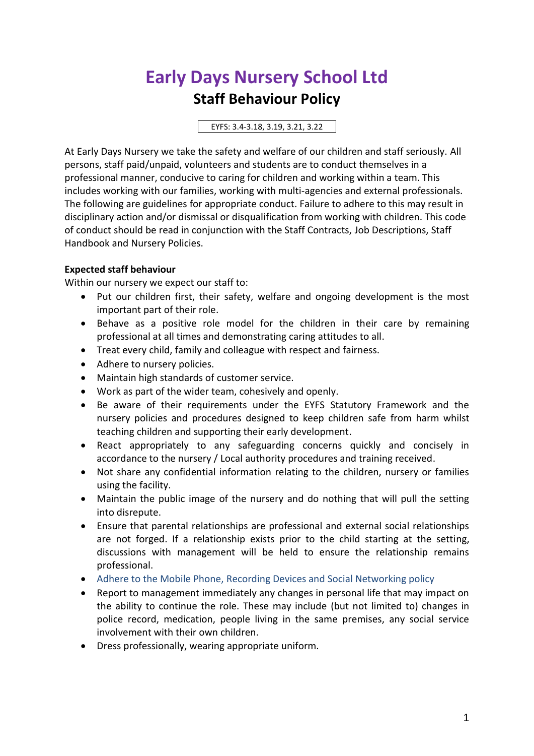# **Early Days Nursery School Ltd Staff Behaviour Policy**

EYFS: 3.4-3.18, 3.19, 3.21, 3.22

At Early Days Nursery we take the safety and welfare of our children and staff seriously. All persons, staff paid/unpaid, volunteers and students are to conduct themselves in a professional manner, conducive to caring for children and working within a team. This includes working with our families, working with multi-agencies and external professionals. The following are guidelines for appropriate conduct. Failure to adhere to this may result in disciplinary action and/or dismissal or disqualification from working with children. This code of conduct should be read in conjunction with the Staff Contracts, Job Descriptions, Staff Handbook and Nursery Policies.

## **Expected staff behaviour**

Within our nursery we expect our staff to:

- Put our children first, their safety, welfare and ongoing development is the most important part of their role.
- Behave as a positive role model for the children in their care by remaining professional at all times and demonstrating caring attitudes to all.
- Treat every child, family and colleague with respect and fairness.
- Adhere to nursery policies.
- Maintain high standards of customer service.
- Work as part of the wider team, cohesively and openly.
- Be aware of their requirements under the EYFS Statutory Framework and the nursery policies and procedures designed to keep children safe from harm whilst teaching children and supporting their early development.
- React appropriately to any safeguarding concerns quickly and concisely in accordance to the nursery / Local authority procedures and training received.
- Not share any confidential information relating to the children, nursery or families using the facility.
- Maintain the public image of the nursery and do nothing that will pull the setting into disrepute.
- Ensure that parental relationships are professional and external social relationships are not forged. If a relationship exists prior to the child starting at the setting, discussions with management will be held to ensure the relationship remains professional.
- Adhere to the Mobile Phone, Recording Devices and Social Networking policy
- Report to management immediately any changes in personal life that may impact on the ability to continue the role. These may include (but not limited to) changes in police record, medication, people living in the same premises, any social service involvement with their own children.
- Dress professionally, wearing appropriate uniform.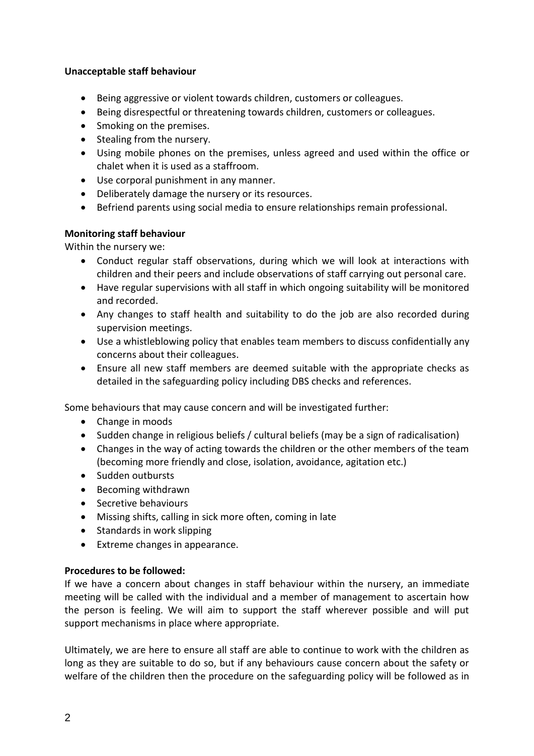## **Unacceptable staff behaviour**

- Being aggressive or violent towards children, customers or colleagues.
- Being disrespectful or threatening towards children, customers or colleagues.
- Smoking on the premises.
- Stealing from the nursery.
- Using mobile phones on the premises, unless agreed and used within the office or chalet when it is used as a staffroom.
- Use corporal punishment in any manner.
- Deliberately damage the nursery or its resources.
- Befriend parents using social media to ensure relationships remain professional.

## **Monitoring staff behaviour**

Within the nursery we:

- Conduct regular staff observations, during which we will look at interactions with children and their peers and include observations of staff carrying out personal care.
- Have regular supervisions with all staff in which ongoing suitability will be monitored and recorded.
- Any changes to staff health and suitability to do the job are also recorded during supervision meetings.
- Use a whistleblowing policy that enables team members to discuss confidentially any concerns about their colleagues.
- Ensure all new staff members are deemed suitable with the appropriate checks as detailed in the safeguarding policy including DBS checks and references.

Some behaviours that may cause concern and will be investigated further:

- Change in moods
- Sudden change in religious beliefs / cultural beliefs (may be a sign of radicalisation)
- Changes in the way of acting towards the children or the other members of the team (becoming more friendly and close, isolation, avoidance, agitation etc.)
- Sudden outbursts
- Becoming withdrawn
- Secretive behaviours
- Missing shifts, calling in sick more often, coming in late
- Standards in work slipping
- Extreme changes in appearance.

### **Procedures to be followed:**

If we have a concern about changes in staff behaviour within the nursery, an immediate meeting will be called with the individual and a member of management to ascertain how the person is feeling. We will aim to support the staff wherever possible and will put support mechanisms in place where appropriate.

Ultimately, we are here to ensure all staff are able to continue to work with the children as long as they are suitable to do so, but if any behaviours cause concern about the safety or welfare of the children then the procedure on the safeguarding policy will be followed as in